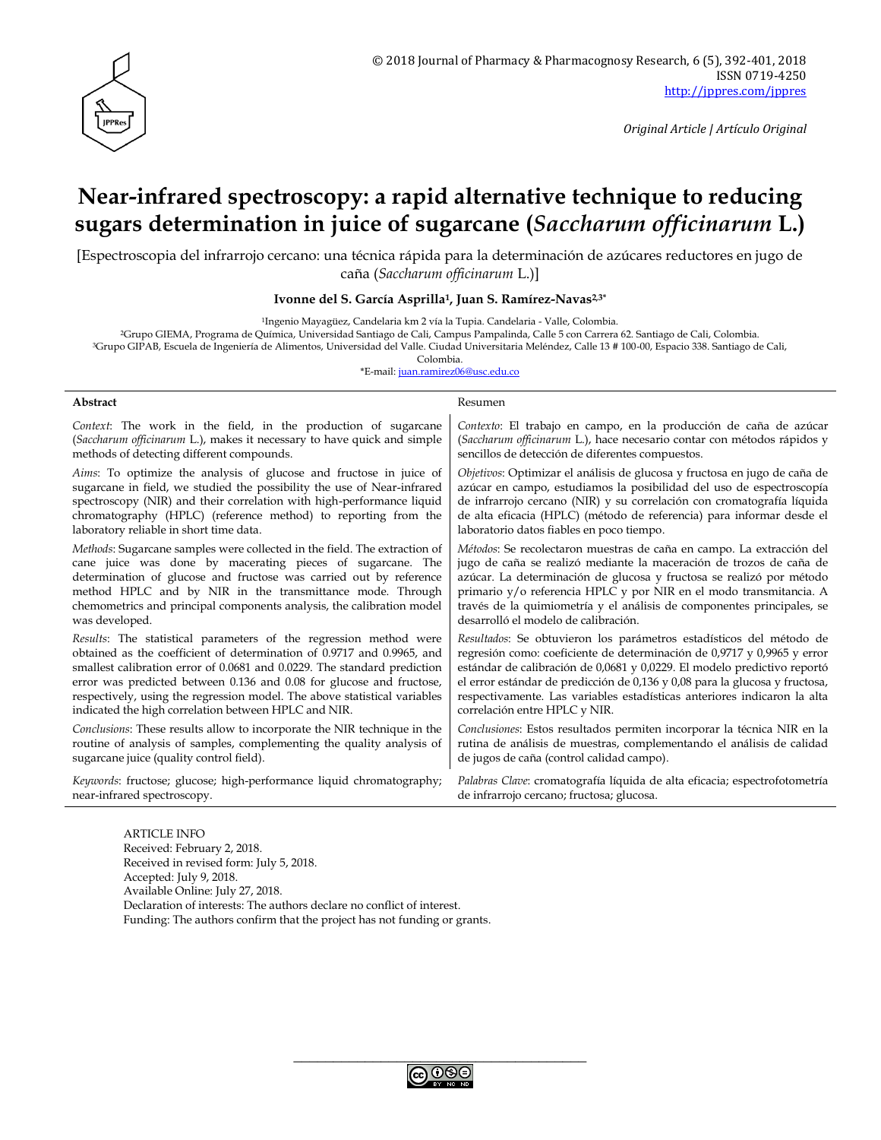

*Original Article | Artículo Original*

# **Near-infrared spectroscopy: a rapid alternative technique to reducing sugars determination in juice of sugarcane (***Saccharum officinarum* **L.)**

[Espectroscopia del infrarrojo cercano: una técnica rápida para la determinación de azúcares reductores en jugo de caña (*Saccharum officinarum* L.)]

#### **Ivonne del S. García Asprilla1, Juan S. Ramírez-Navas2,3\***

<sup>1</sup>Ingenio Mayagüez, Candelaria km 2 vía la Tupia. Candelaria - Valle, Colombia.

<sup>2</sup>Grupo GIEMA, Programa de Química, Universidad Santiago de Cali, Campus Pampalinda, Calle 5 con Carrera 62. Santiago de Cali, Colombia.

<sup>3</sup>Grupo GIPAB, Escuela de Ingeniería de Alimentos, Universidad del Valle. Ciudad Universitaria Meléndez, Calle 13 # 100-00, Espacio 338. Santiago de Cali,

Colombia.

\*E-mail: [juan.ramirez06@usc.edu.co](mailto:juan.ramirez06@usc.edu.co)

#### **Abstract** Resumen

*Context*: The work in the field, in the production of sugarcane (*Saccharum officinarum* L.), makes it necessary to have quick and simple methods of detecting different compounds.

*Aims*: To optimize the analysis of glucose and fructose in juice of sugarcane in field, we studied the possibility the use of Near-infrared spectroscopy (NIR) and their correlation with high-performance liquid chromatography (HPLC) (reference method) to reporting from the laboratory reliable in short time data.

*Methods*: Sugarcane samples were collected in the field. The extraction of cane juice was done by macerating pieces of sugarcane. The determination of glucose and fructose was carried out by reference method HPLC and by NIR in the transmittance mode. Through chemometrics and principal components analysis, the calibration model was developed.

*Results*: The statistical parameters of the regression method were obtained as the coefficient of determination of 0.9717 and 0.9965, and smallest calibration error of 0.0681 and 0.0229. The standard prediction error was predicted between 0.136 and 0.08 for glucose and fructose, respectively, using the regression model. The above statistical variables indicated the high correlation between HPLC and NIR.

*Conclusions*: These results allow to incorporate the NIR technique in the routine of analysis of samples, complementing the quality analysis of sugarcane juice (quality control field).

*Keywords*: fructose; glucose; high-performance liquid chromatography; near-infrared spectroscopy.

*Contexto*: El trabajo en campo, en la producción de caña de azúcar (*Saccharum officinarum* L.), hace necesario contar con métodos rápidos y sencillos de detección de diferentes compuestos.

*Objetivos*: Optimizar el análisis de glucosa y fructosa en jugo de caña de azúcar en campo, estudiamos la posibilidad del uso de espectroscopía de infrarrojo cercano (NIR) y su correlación con cromatografía líquida de alta eficacia (HPLC) (método de referencia) para informar desde el laboratorio datos fiables en poco tiempo.

*Métodos*: Se recolectaron muestras de caña en campo. La extracción del jugo de caña se realizó mediante la maceración de trozos de caña de azúcar. La determinación de glucosa y fructosa se realizó por método primario y/o referencia HPLC y por NIR en el modo transmitancia. A través de la quimiometría y el análisis de componentes principales, se desarrolló el modelo de calibración.

*Resultados*: Se obtuvieron los parámetros estadísticos del método de regresión como: coeficiente de determinación de 0,9717 y 0,9965 y error estándar de calibración de 0,0681 y 0,0229. El modelo predictivo reportó el error estándar de predicción de 0,136 y 0,08 para la glucosa y fructosa, respectivamente. Las variables estadísticas anteriores indicaron la alta correlación entre HPLC y NIR.

*Conclusiones*: Estos resultados permiten incorporar la técnica NIR en la rutina de análisis de muestras, complementando el análisis de calidad de jugos de caña (control calidad campo).

*Palabras Clave*: cromatografía líquida de alta eficacia; espectrofotometría de infrarrojo cercano; fructosa; glucosa.

ARTICLE INFO Received: February 2, 2018. Received in revised form: July 5, 2018. Accepted: July 9, 2018. Available Online: July 27, 2018. Declaration of interests: The authors declare no conflict of interest. Funding: The authors confirm that the project has not funding or grants.

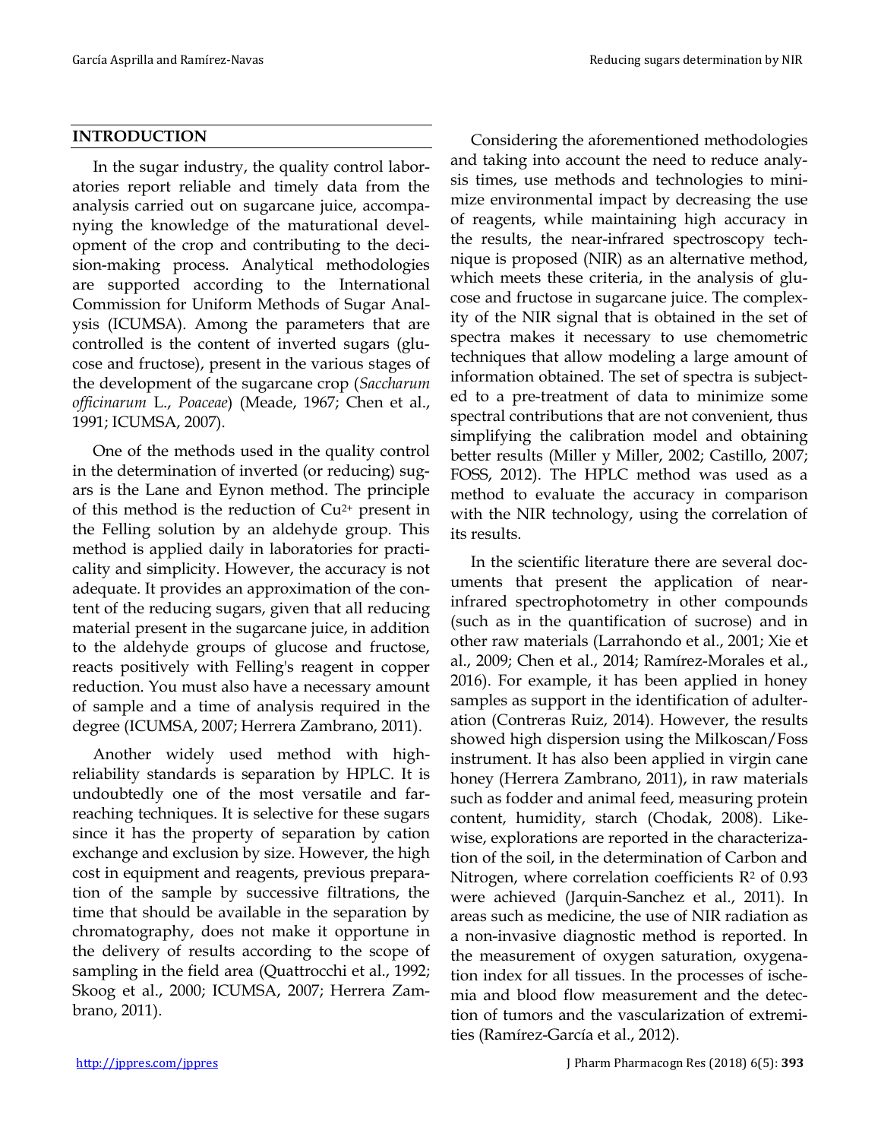#### **INTRODUCTION**

In the sugar industry, the quality control laboratories report reliable and timely data from the analysis carried out on sugarcane juice, accompanying the knowledge of the maturational development of the crop and contributing to the decision-making process. Analytical methodologies are supported according to the International Commission for Uniform Methods of Sugar Analysis (ICUMSA). Among the parameters that are controlled is the content of inverted sugars (glucose and fructose), present in the various stages of the development of the sugarcane crop (*Saccharum officinarum* L., *Poaceae*) (Meade, 1967; Chen et al., 1991; ICUMSA, 2007).

One of the methods used in the quality control in the determination of inverted (or reducing) sugars is the Lane and Eynon method. The principle of this method is the reduction of Cu2+ present in the Felling solution by an aldehyde group. This method is applied daily in laboratories for practicality and simplicity. However, the accuracy is not adequate. It provides an approximation of the content of the reducing sugars, given that all reducing material present in the sugarcane juice, in addition to the aldehyde groups of glucose and fructose, reacts positively with Felling's reagent in copper reduction. You must also have a necessary amount of sample and a time of analysis required in the degree (ICUMSA, 2007; Herrera Zambrano, 2011).

Another widely used method with highreliability standards is separation by HPLC. It is undoubtedly one of the most versatile and farreaching techniques. It is selective for these sugars since it has the property of separation by cation exchange and exclusion by size. However, the high cost in equipment and reagents, previous preparation of the sample by successive filtrations, the time that should be available in the separation by chromatography, does not make it opportune in the delivery of results according to the scope of sampling in the field area (Quattrocchi et al., 1992; Skoog et al., 2000; ICUMSA, 2007; Herrera Zambrano, 2011).

Considering the aforementioned methodologies and taking into account the need to reduce analysis times, use methods and technologies to minimize environmental impact by decreasing the use of reagents, while maintaining high accuracy in the results, the near-infrared spectroscopy technique is proposed (NIR) as an alternative method, which meets these criteria, in the analysis of glucose and fructose in sugarcane juice. The complexity of the NIR signal that is obtained in the set of spectra makes it necessary to use chemometric techniques that allow modeling a large amount of information obtained. The set of spectra is subjected to a pre-treatment of data to minimize some spectral contributions that are not convenient, thus simplifying the calibration model and obtaining better results (Miller y Miller, 2002; Castillo, 2007; FOSS, 2012). The HPLC method was used as a method to evaluate the accuracy in comparison with the NIR technology, using the correlation of its results.

In the scientific literature there are several documents that present the application of nearinfrared spectrophotometry in other compounds (such as in the quantification of sucrose) and in other raw materials (Larrahondo et al., 2001; Xie et al., 2009; Chen et al., 2014; Ramírez-Morales et al., 2016). For example, it has been applied in honey samples as support in the identification of adulteration (Contreras Ruiz, 2014). However, the results showed high dispersion using the Milkoscan/Foss instrument. It has also been applied in virgin cane honey (Herrera Zambrano, 2011), in raw materials such as fodder and animal feed, measuring protein content, humidity, starch (Chodak, 2008). Likewise, explorations are reported in the characterization of the soil, in the determination of Carbon and Nitrogen, where correlation coefficients  $R<sup>2</sup>$  of 0.93 were achieved (Jarquin-Sanchez et al., 2011). In areas such as medicine, the use of NIR radiation as a non-invasive diagnostic method is reported. In the measurement of oxygen saturation, oxygenation index for all tissues. In the processes of ischemia and blood flow measurement and the detection of tumors and the vascularization of extremities (Ramírez-García et al., 2012).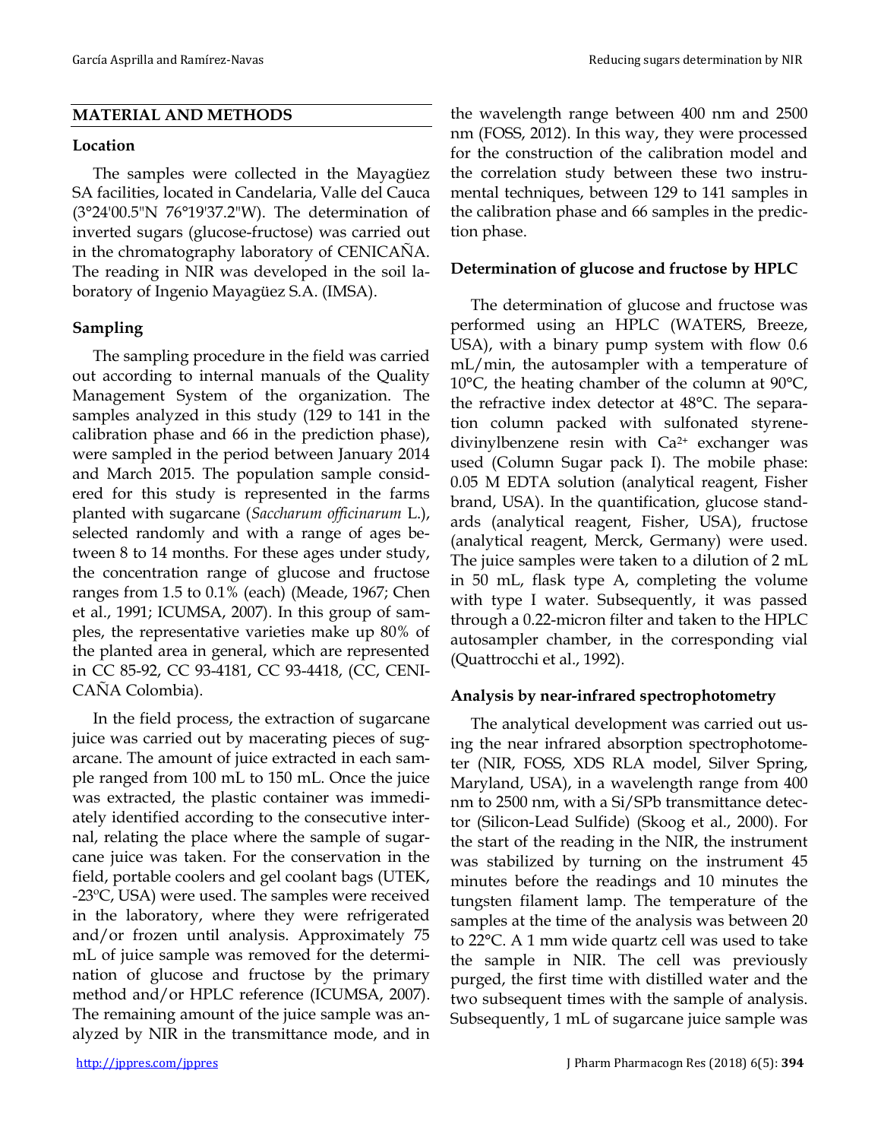# **MATERIAL AND METHODS**

#### **Location**

The samples were collected in the Mayagüez SA facilities, located in Candelaria, Valle del Cauca (3°24'00.5"N 76°19'37.2"W). The determination of inverted sugars (glucose-fructose) was carried out in the chromatography laboratory of CENICAÑA. The reading in NIR was developed in the soil laboratory of Ingenio Mayagüez S.A. (IMSA).

# **Sampling**

The sampling procedure in the field was carried out according to internal manuals of the Quality Management System of the organization. The samples analyzed in this study (129 to 141 in the calibration phase and 66 in the prediction phase), were sampled in the period between January 2014 and March 2015. The population sample considered for this study is represented in the farms planted with sugarcane (*Saccharum officinarum* L.), selected randomly and with a range of ages between 8 to 14 months. For these ages under study, the concentration range of glucose and fructose ranges from 1.5 to 0.1% (each) (Meade, 1967; Chen et al., 1991; ICUMSA, 2007)*.* In this group of samples, the representative varieties make up 80% of the planted area in general, which are represented in CC 85-92, CC 93-4181, CC 93-4418, (CC, CENI-CAÑA Colombia).

In the field process, the extraction of sugarcane juice was carried out by macerating pieces of sugarcane. The amount of juice extracted in each sample ranged from 100 mL to 150 mL. Once the juice was extracted, the plastic container was immediately identified according to the consecutive internal, relating the place where the sample of sugarcane juice was taken. For the conservation in the field, portable coolers and gel coolant bags (UTEK, -23ºC, USA) were used. The samples were received in the laboratory, where they were refrigerated and/or frozen until analysis. Approximately 75 mL of juice sample was removed for the determination of glucose and fructose by the primary method and/or HPLC reference (ICUMSA, 2007). The remaining amount of the juice sample was analyzed by NIR in the transmittance mode, and in

the wavelength range between 400 nm and 2500 nm (FOSS, 2012). In this way, they were processed for the construction of the calibration model and the correlation study between these two instrumental techniques, between 129 to 141 samples in the calibration phase and 66 samples in the prediction phase.

### **Determination of glucose and fructose by HPLC**

The determination of glucose and fructose was performed using an HPLC (WATERS, Breeze, USA), with a binary pump system with flow 0.6 mL/min, the autosampler with a temperature of 10°C, the heating chamber of the column at 90°C, the refractive index detector at 48°C. The separation column packed with sulfonated styrenedivinylbenzene resin with Ca<sup>2+</sup> exchanger was used (Column Sugar pack I). The mobile phase: 0.05 M EDTA solution (analytical reagent, Fisher brand, USA). In the quantification, glucose standards (analytical reagent, Fisher, USA), fructose (analytical reagent, Merck, Germany) were used. The juice samples were taken to a dilution of 2 mL in 50 mL, flask type A, completing the volume with type I water. Subsequently, it was passed through a 0.22-micron filter and taken to the HPLC autosampler chamber, in the corresponding vial (Quattrocchi et al., 1992).

# **Analysis by near-infrared spectrophotometry**

The analytical development was carried out using the near infrared absorption spectrophotometer (NIR, FOSS, XDS RLA model, Silver Spring, Maryland, USA), in a wavelength range from 400 nm to 2500 nm, with a Si/SPb transmittance detector (Silicon-Lead Sulfide) (Skoog et al., 2000). For the start of the reading in the NIR, the instrument was stabilized by turning on the instrument 45 minutes before the readings and 10 minutes the tungsten filament lamp. The temperature of the samples at the time of the analysis was between 20 to 22°C. A 1 mm wide quartz cell was used to take the sample in NIR. The cell was previously purged, the first time with distilled water and the two subsequent times with the sample of analysis. Subsequently, 1 mL of sugarcane juice sample was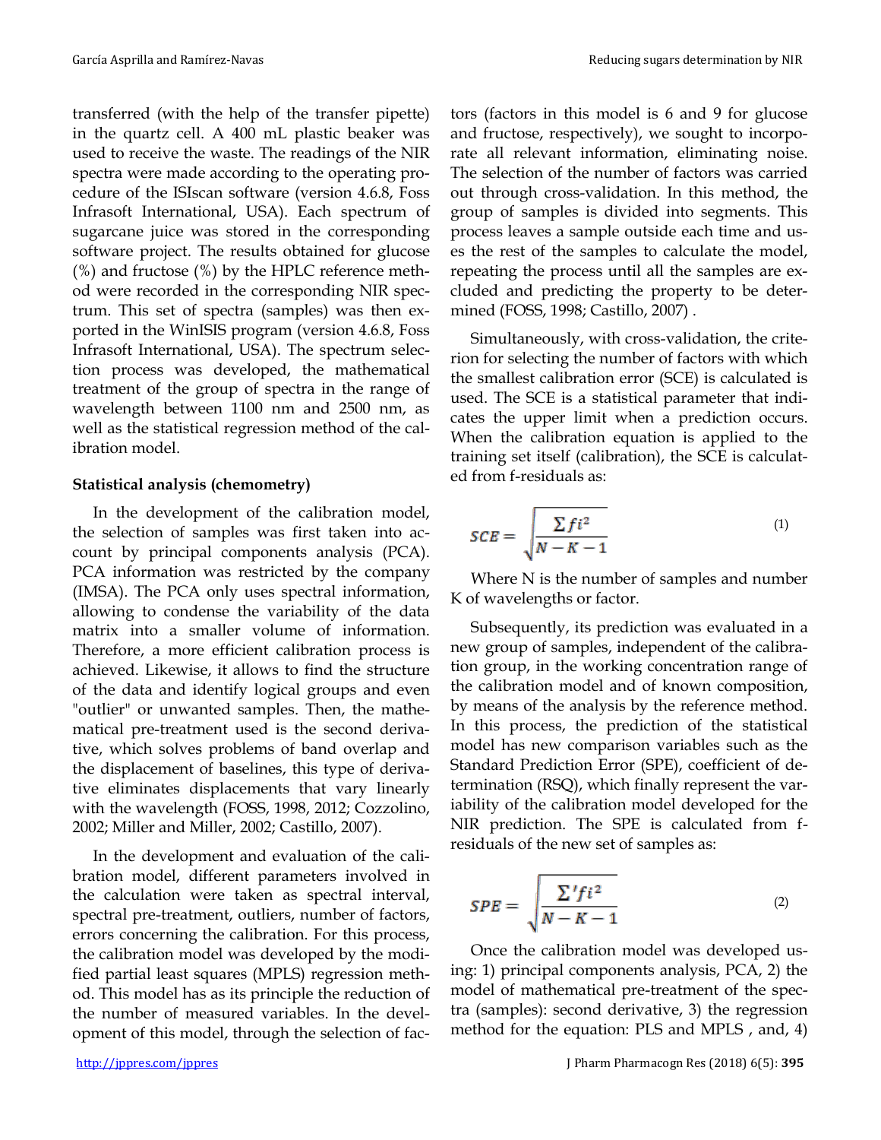transferred (with the help of the transfer pipette) in the quartz cell. A 400 mL plastic beaker was used to receive the waste. The readings of the NIR spectra were made according to the operating procedure of the ISIscan software (version 4.6.8, Foss Infrasoft International, USA). Each spectrum of sugarcane juice was stored in the corresponding software project. The results obtained for glucose (%) and fructose (%) by the HPLC reference method were recorded in the corresponding NIR spectrum. This set of spectra (samples) was then exported in the WinISIS program (version 4.6.8, Foss Infrasoft International, USA). The spectrum selection process was developed, the mathematical treatment of the group of spectra in the range of wavelength between 1100 nm and 2500 nm, as well as the statistical regression method of the calibration model.

#### **Statistical analysis (chemometry)**

In the development of the calibration model, the selection of samples was first taken into account by principal components analysis (PCA). PCA information was restricted by the company (IMSA). The PCA only uses spectral information, allowing to condense the variability of the data matrix into a smaller volume of information. Therefore, a more efficient calibration process is achieved. Likewise, it allows to find the structure of the data and identify logical groups and even "outlier" or unwanted samples. Then, the mathematical pre-treatment used is the second derivative, which solves problems of band overlap and the displacement of baselines, this type of derivative eliminates displacements that vary linearly with the wavelength (FOSS, 1998, 2012; Cozzolino, 2002; Miller and Miller, 2002; Castillo, 2007).

In the development and evaluation of the calibration model, different parameters involved in the calculation were taken as spectral interval, spectral pre-treatment, outliers, number of factors, errors concerning the calibration. For this process, the calibration model was developed by the modified partial least squares (MPLS) regression method. This model has as its principle the reduction of the number of measured variables. In the development of this model, through the selection of factors (factors in this model is 6 and 9 for glucose and fructose, respectively), we sought to incorporate all relevant information, eliminating noise. The selection of the number of factors was carried out through cross-validation. In this method, the group of samples is divided into segments. This process leaves a sample outside each time and uses the rest of the samples to calculate the model, repeating the process until all the samples are excluded and predicting the property to be determined (FOSS, 1998; Castillo, 2007) .

Simultaneously, with cross-validation, the criterion for selecting the number of factors with which the smallest calibration error (SCE) is calculated is used. The SCE is a statistical parameter that indicates the upper limit when a prediction occurs. When the calibration equation is applied to the training set itself (calibration), the SCE is calculated from f-residuals as:

$$
SCE = \sqrt{\frac{\sum ft^2}{N - K - 1}}\tag{1}
$$

Where N is the number of samples and number K of wavelengths or factor.

Subsequently, its prediction was evaluated in a new group of samples, independent of the calibration group, in the working concentration range of the calibration model and of known composition, by means of the analysis by the reference method. In this process, the prediction of the statistical model has new comparison variables such as the Standard Prediction Error (SPE), coefficient of determination (RSQ), which finally represent the variability of the calibration model developed for the NIR prediction. The SPE is calculated from fresiduals of the new set of samples as:

$$
SPE = \sqrt{\frac{\sum' f i^2}{N - K - 1}} \tag{2}
$$

Once the calibration model was developed using: 1) principal components analysis, PCA, 2) the model of mathematical pre-treatment of the spectra (samples): second derivative, 3) the regression method for the equation: PLS and MPLS , and, 4)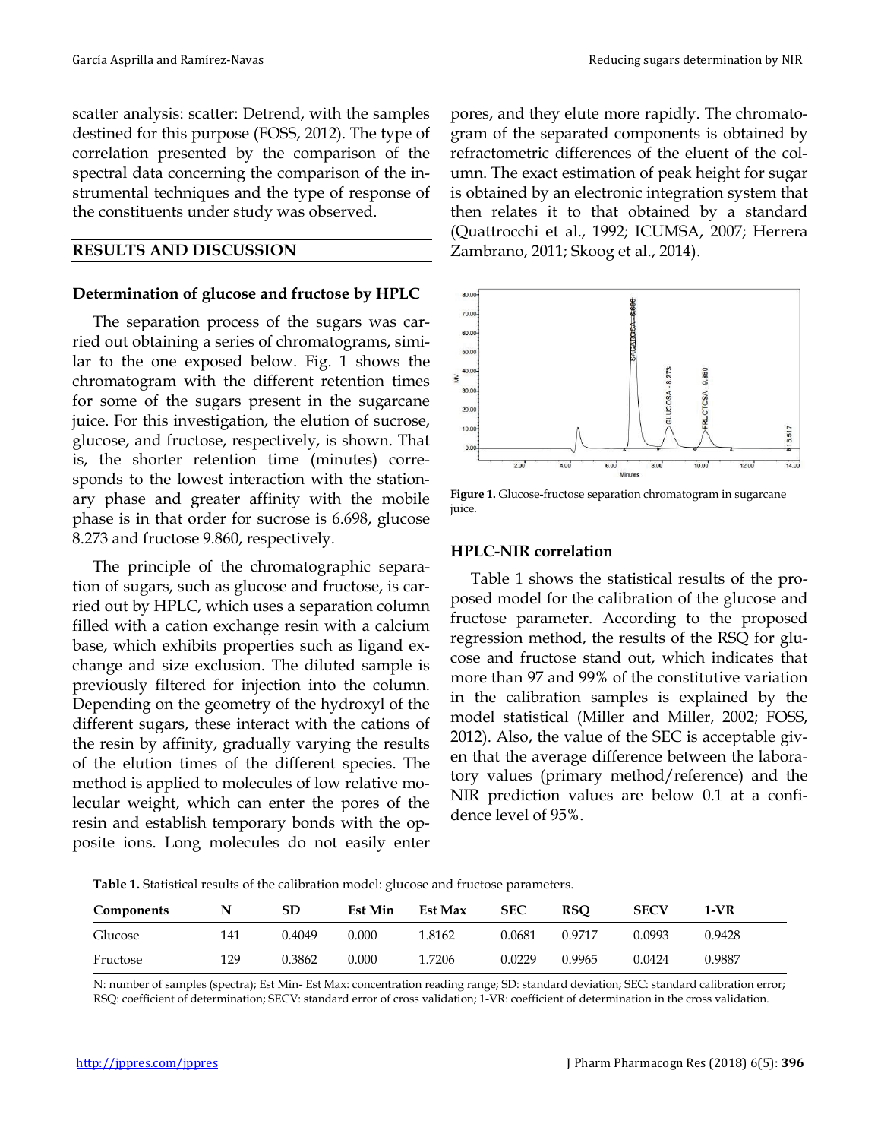scatter analysis: scatter: Detrend, with the samples destined for this purpose (FOSS, 2012). The type of correlation presented by the comparison of the spectral data concerning the comparison of the instrumental techniques and the type of response of the constituents under study was observed.

#### **RESULTS AND DISCUSSION**

#### **Determination of glucose and fructose by HPLC**

The separation process of the sugars was carried out obtaining a series of chromatograms, similar to the one exposed below. Fig. 1 shows the chromatogram with the different retention times for some of the sugars present in the sugarcane juice. For this investigation, the elution of sucrose, glucose, and fructose, respectively, is shown. That is, the shorter retention time (minutes) corresponds to the lowest interaction with the stationary phase and greater affinity with the mobile phase is in that order for sucrose is 6.698, glucose 8.273 and fructose 9.860, respectively.

The principle of the chromatographic separation of sugars, such as glucose and fructose, is carried out by HPLC, which uses a separation column filled with a cation exchange resin with a calcium base, which exhibits properties such as ligand exchange and size exclusion. The diluted sample is previously filtered for injection into the column. Depending on the geometry of the hydroxyl of the different sugars, these interact with the cations of the resin by affinity, gradually varying the results of the elution times of the different species. The method is applied to molecules of low relative molecular weight, which can enter the pores of the resin and establish temporary bonds with the opposite ions. Long molecules do not easily enter pores, and they elute more rapidly. The chromatogram of the separated components is obtained by refractometric differences of the eluent of the column. The exact estimation of peak height for sugar is obtained by an electronic integration system that then relates it to that obtained by a standard (Quattrocchi et al., 1992; ICUMSA, 2007; Herrera Zambrano, 2011; Skoog et al., 2014).



**Figure 1.** Glucose-fructose separation chromatogram in sugarcane juice.

#### **HPLC-NIR correlation**

Table 1 shows the statistical results of the proposed model for the calibration of the glucose and fructose parameter. According to the proposed regression method, the results of the RSQ for glucose and fructose stand out, which indicates that more than 97 and 99% of the constitutive variation in the calibration samples is explained by the model statistical (Miller and Miller, 2002; FOSS, 2012). Also, the value of the SEC is acceptable given that the average difference between the laboratory values (primary method/reference) and the NIR prediction values are below 0.1 at a confidence level of 95%.

**Table 1.** Statistical results of the calibration model: glucose and fructose parameters.

| Components | N   | SD     | <b>Est Min</b> | Est Max | <b>SEC</b> | RSO    | <b>SECV</b> | 1-VR   |  |
|------------|-----|--------|----------------|---------|------------|--------|-------------|--------|--|
| Glucose    | 141 | 0.4049 | 0.000          | 1.8162  | 0.0681     | 0.9717 | 0.0993      | 0.9428 |  |
| Fructose   | 129 | 0.3862 | 0.000          | .7206   | 0.0229     | 0.9965 | 0.0424      | 0.9887 |  |

N: number of samples (spectra); Est Min- Est Max: concentration reading range; SD: standard deviation; SEC: standard calibration error; RSQ: coefficient of determination; SECV: standard error of cross validation; 1-VR: coefficient of determination in the cross validation.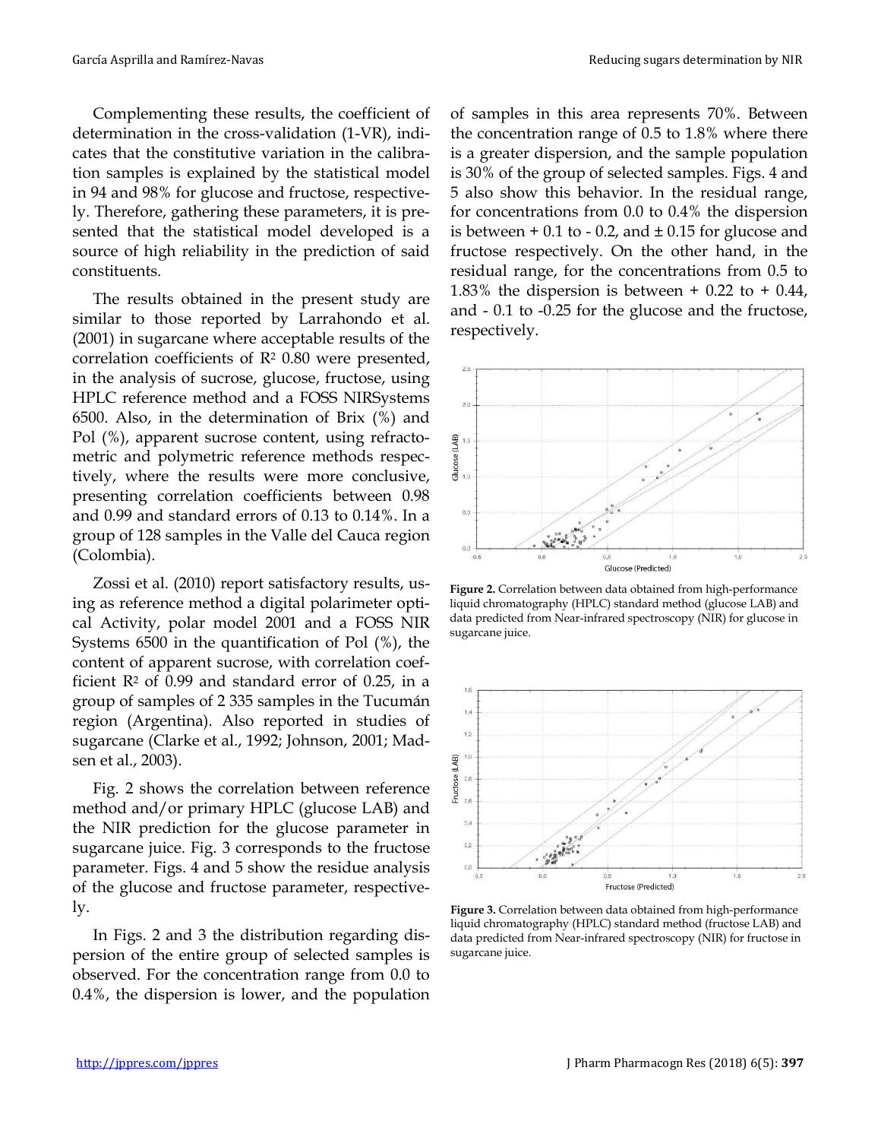Complementing these results, the coefficient of determination in the cross-validation (1-VR), indicates that the constitutive variation in the calibration samples is explained by the statistical model in 94 and 98% for glucose and fructose, respectively. Therefore, gathering these parameters, it is presented that the statistical model developed is a source of high reliability in the prediction of said constituents.

The results obtained in the present study are similar to those reported by Larrahondo et al. (2001) in sugarcane where acceptable results of the correlation coefficients of  $R<sup>2</sup>$  0.80 were presented, in the analysis of sucrose, glucose, fructose, using HPLC reference method and a FOSS NIRSystems 6500. Also, in the determination of Brix (%) and Pol (%), apparent sucrose content, using refractometric and polymetric reference methods respectively, where the results were more conclusive, presenting correlation coefficients between 0.98 and 0.99 and standard errors of 0.13 to 0.14%. In a group of 128 samples in the Valle del Cauca region (Colombia).

Zossi et al. (2010) report satisfactory results, using as reference method a digital polarimeter optical Activity, polar model 2001 and a FOSS NIR Systems 6500 in the quantification of Pol (%), the content of apparent sucrose, with correlation coefficient  $R<sup>2</sup>$  of 0.99 and standard error of 0.25, in a group of samples of 2 335 samples in the Tucumán region (Argentina). Also reported in studies of sugarcane (Clarke et al., 1992; Johnson, 2001; Madsen et al., 2003).

Fig. 2 shows the correlation between reference method and/or primary HPLC (glucose LAB) and the NIR prediction for the glucose parameter in sugarcane juice. Fig. 3 corresponds to the fructose parameter. Figs. 4 and 5 show the residue analysis of the glucose and fructose parameter, respectively.

In Figs. 2 and 3 the distribution regarding dispersion of the entire group of selected samples is observed. For the concentration range from 0.0 to 0.4%, the dispersion is lower, and the population of samples in this area represents 70%. Between the concentration range of 0.5 to 1.8% where there is a greater dispersion, and the sample population is 30% of the group of selected samples. Figs. 4 and 5 also show this behavior. In the residual range, for concentrations from 0.0 to 0.4% the dispersion is between  $+$  0.1 to - 0.2, and  $\pm$  0.15 for glucose and fructose respectively. On the other hand, in the residual range, for the concentrations from 0.5 to 1.83% the dispersion is between  $+$  0.22 to  $+$  0.44, and - 0.1 to -0.25 for the glucose and the fructose, respectively.



**Figure 2.** Correlation between data obtained from high-performance liquid chromatography (HPLC) standard method (glucose LAB) and data predicted from Near-infrared spectroscopy (NIR) for glucose in sugarcane juice.



**Figure 3.** Correlation between data obtained from high-performance liquid chromatography (HPLC) standard method (fructose LAB) and data predicted from Near-infrared spectroscopy (NIR) for fructose in sugarcane juice.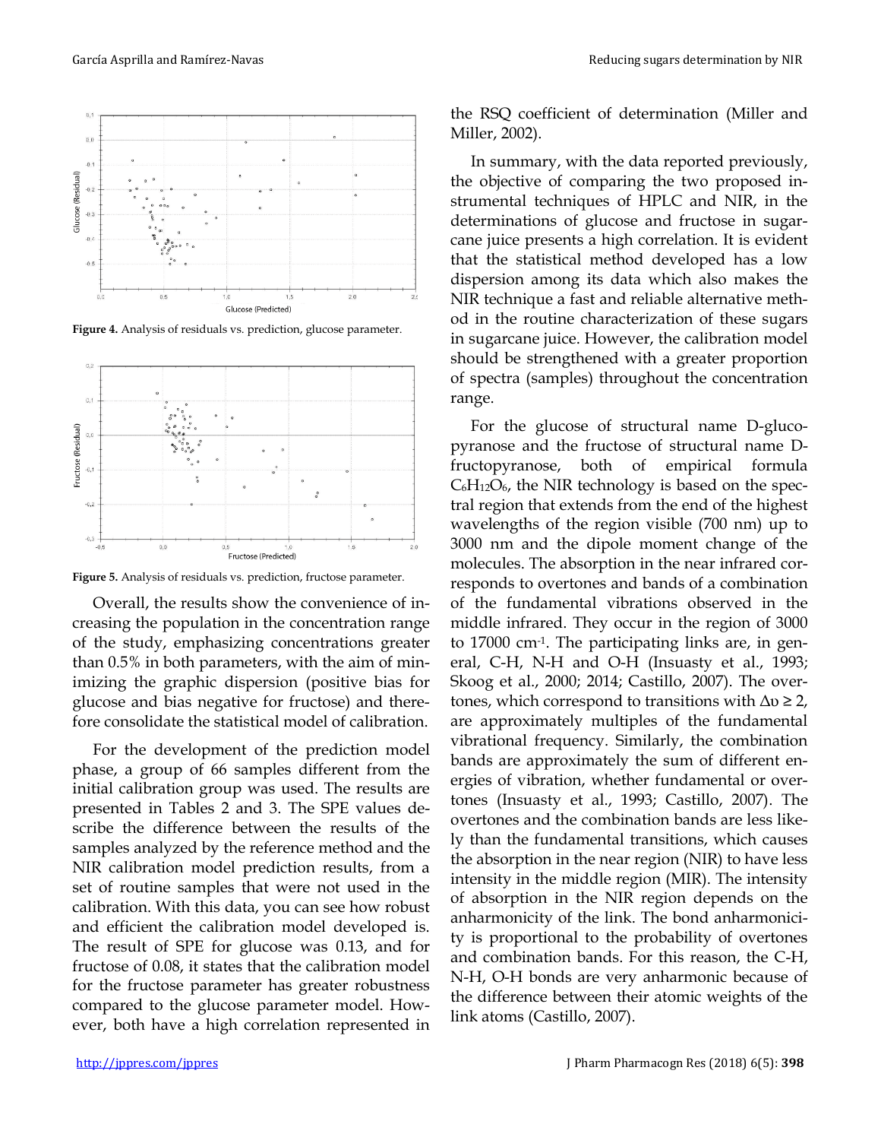

**Figure 4.** Analysis of residuals vs. prediction, glucose parameter.



**Figure 5.** Analysis of residuals vs. prediction, fructose parameter.

Overall, the results show the convenience of increasing the population in the concentration range of the study, emphasizing concentrations greater than 0.5% in both parameters, with the aim of minimizing the graphic dispersion (positive bias for glucose and bias negative for fructose) and therefore consolidate the statistical model of calibration.

For the development of the prediction model phase, a group of 66 samples different from the initial calibration group was used. The results are presented in Tables 2 and 3. The SPE values describe the difference between the results of the samples analyzed by the reference method and the NIR calibration model prediction results, from a set of routine samples that were not used in the calibration. With this data, you can see how robust and efficient the calibration model developed is. The result of SPE for glucose was 0.13, and for fructose of 0.08, it states that the calibration model for the fructose parameter has greater robustness compared to the glucose parameter model. However, both have a high correlation represented in

the RSQ coefficient of determination (Miller and Miller, 2002).

In summary, with the data reported previously, the objective of comparing the two proposed instrumental techniques of HPLC and NIR, in the determinations of glucose and fructose in sugarcane juice presents a high correlation. It is evident that the statistical method developed has a low dispersion among its data which also makes the NIR technique a fast and reliable alternative method in the routine characterization of these sugars in sugarcane juice. However, the calibration model should be strengthened with a greater proportion of spectra (samples) throughout the concentration range.

For the glucose of structural name D-glucopyranose and the fructose of structural name Dfructopyranose, both of empirical formula  $C_6H_{12}O_6$ , the NIR technology is based on the spectral region that extends from the end of the highest wavelengths of the region visible (700 nm) up to 3000 nm and the dipole moment change of the molecules. The absorption in the near infrared corresponds to overtones and bands of a combination of the fundamental vibrations observed in the middle infrared. They occur in the region of 3000 to 17000 cm-1. The participating links are, in general, C-H, N-H and O-H (Insuasty et al., 1993; Skoog et al., 2000; 2014; Castillo, 2007). The overtones, which correspond to transitions with  $\Delta v \geq 2$ , are approximately multiples of the fundamental vibrational frequency. Similarly, the combination bands are approximately the sum of different energies of vibration, whether fundamental or overtones (Insuasty et al., 1993; Castillo, 2007). The overtones and the combination bands are less likely than the fundamental transitions, which causes the absorption in the near region (NIR) to have less intensity in the middle region (MIR). The intensity of absorption in the NIR region depends on the anharmonicity of the link. The bond anharmonicity is proportional to the probability of overtones and combination bands. For this reason, the C-H, N-H, O-H bonds are very anharmonic because of the difference between their atomic weights of the link atoms (Castillo, 2007).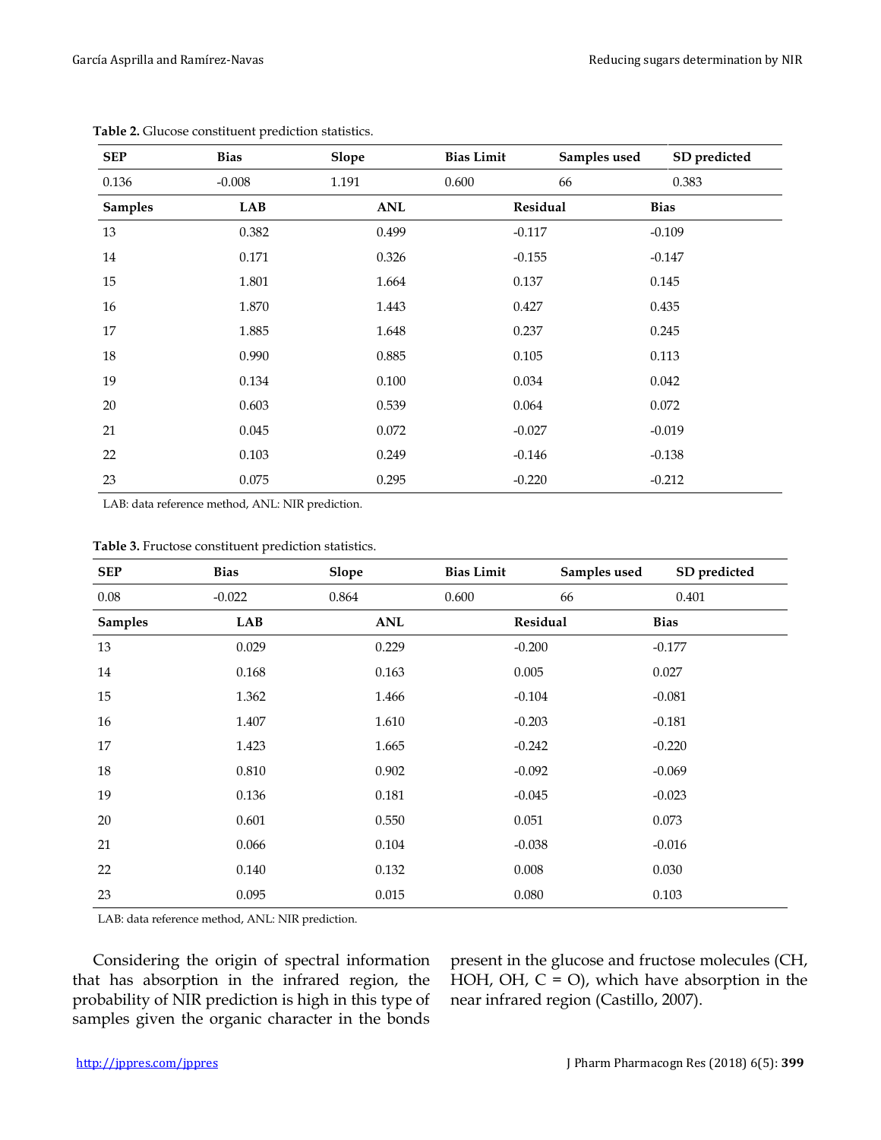| <b>SEP</b>     | <b>Bias</b> | <b>Slope</b> | <b>Bias Limit</b> | Samples used | SD predicted |
|----------------|-------------|--------------|-------------------|--------------|--------------|
| 0.136          | $-0.008$    | 1.191        | 0.600             | 66           | 0.383        |
| <b>Samples</b> | <b>LAB</b>  | <b>ANL</b>   | Residual          |              | <b>Bias</b>  |
| 13             | 0.382       | 0.499        | $-0.117$          |              | $-0.109$     |
| $14\,$         | 0.171       | 0.326        | $-0.155$          |              | $-0.147$     |
| 15             | 1.801       | 1.664        | 0.137             |              | 0.145        |
| 16             | 1.870       | 1.443        | 0.427             |              | 0.435        |
| 17             | 1.885       | 1.648        | 0.237             |              | 0.245        |
| 18             | 0.990       | 0.885        | 0.105             |              | 0.113        |
| 19             | 0.134       | 0.100        | 0.034             |              | 0.042        |
| 20             | 0.603       | 0.539        | 0.064             |              | 0.072        |
| 21             | 0.045       | 0.072        | $-0.027$          |              | $-0.019$     |
| 22             | 0.103       | 0.249        | $-0.146$          |              | $-0.138$     |
| 23             | 0.075       | 0.295        | $-0.220$          |              | $-0.212$     |

**Table 2.** Glucose constituent prediction statistics.

LAB: data reference method, ANL: NIR prediction.

| Table 3. Fructose constituent prediction statistics. |  |
|------------------------------------------------------|--|
|                                                      |  |

| <b>SEP</b>     | <b>Bias</b> | <b>Slope</b> | <b>Bias Limit</b> | Samples used | SD predicted |
|----------------|-------------|--------------|-------------------|--------------|--------------|
| 0.08           | $-0.022$    | 0.864        | 0.600             | 66           | 0.401        |
| <b>Samples</b> | LAB         | ANL          | Residual          |              | <b>Bias</b>  |
| 13             | 0.029       | 0.229        | $-0.200$          |              | $-0.177$     |
| 14             | 0.168       | 0.163        | 0.005             |              | 0.027        |
| 15             | 1.362       | 1.466        | $-0.104$          |              | $-0.081$     |
| 16             | 1.407       | 1.610        | $-0.203$          |              | $-0.181$     |
| 17             | 1.423       | 1.665        | $-0.242$          |              | $-0.220$     |
| 18             | 0.810       | 0.902        | $-0.092$          |              | $-0.069$     |
| 19             | 0.136       | 0.181        | $-0.045$          |              | $-0.023$     |
| 20             | 0.601       | 0.550        | 0.051             |              | 0.073        |
| 21             | 0.066       | 0.104        | $-0.038$          |              | $-0.016$     |
| 22             | 0.140       | 0.132        | 0.008             |              | 0.030        |
| 23             | 0.095       | 0.015        | 0.080             |              | 0.103        |

LAB: data reference method, ANL: NIR prediction.

Considering the origin of spectral information that has absorption in the infrared region, the probability of NIR prediction is high in this type of samples given the organic character in the bonds

present in the glucose and fructose molecules (CH, HOH, OH,  $C = O$ ), which have absorption in the near infrared region (Castillo, 2007).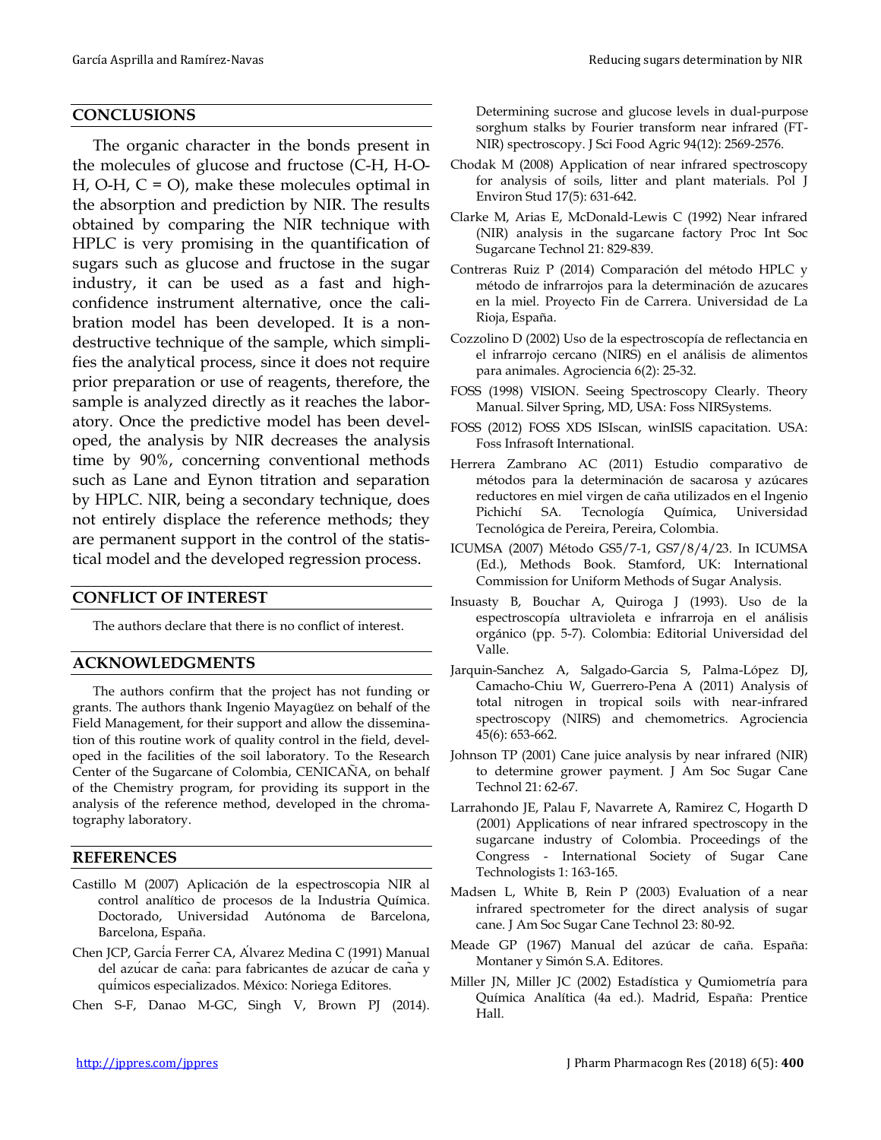### **CONCLUSIONS**

The organic character in the bonds present in the molecules of glucose and fructose (C-H, H-O-H, O-H,  $C = O$ , make these molecules optimal in the absorption and prediction by NIR. The results obtained by comparing the NIR technique with HPLC is very promising in the quantification of sugars such as glucose and fructose in the sugar industry, it can be used as a fast and highconfidence instrument alternative, once the calibration model has been developed. It is a nondestructive technique of the sample, which simplifies the analytical process, since it does not require prior preparation or use of reagents, therefore, the sample is analyzed directly as it reaches the laboratory. Once the predictive model has been developed, the analysis by NIR decreases the analysis time by 90%, concerning conventional methods such as Lane and Eynon titration and separation by HPLC. NIR, being a secondary technique, does not entirely displace the reference methods; they are permanent support in the control of the statistical model and the developed regression process.

#### **CONFLICT OF INTEREST**

The authors declare that there is no conflict of interest.

#### **ACKNOWLEDGMENTS**

The authors confirm that the project has not funding or grants. The authors thank Ingenio Mayagüez on behalf of the Field Management, for their support and allow the dissemination of this routine work of quality control in the field, developed in the facilities of the soil laboratory. To the Research Center of the Sugarcane of Colombia, CENICAÑA, on behalf of the Chemistry program, for providing its support in the analysis of the reference method, developed in the chromatography laboratory.

#### **REFERENCES**

- Castillo M (2007) Aplicación de la espectroscopia NIR al control analítico de procesos de la Industria Química*.* Doctorado, Universidad Autónoma de Barcelona, Barcelona, España.
- Chen JCP, García Ferrer CA, Álvarez Medina C (1991) Manual del azúcar de caña: para fabricantes de azúcar de caña y químicos especializados. México: Noriega Editores.
- Chen S-F, Danao M-GC, Singh V, Brown PJ (2014).

Determining sucrose and glucose levels in dual-purpose sorghum stalks by Fourier transform near infrared (FT-NIR) spectroscopy. J Sci Food Agric 94(12): 2569-2576.

- Chodak M (2008) Application of near infrared spectroscopy for analysis of soils, litter and plant materials. Pol J Environ Stud 17(5): 631-642.
- Clarke M, Arias E, McDonald-Lewis C (1992) Near infrared (NIR) analysis in the sugarcane factory Proc Int Soc Sugarcane Technol 21: 829-839.
- Contreras Ruiz P (2014) Comparación del método HPLC y método de infrarrojos para la determinación de azucares en la miel*.* Proyecto Fin de Carrera. Universidad de La Rioja, España.
- Cozzolino D (2002) Uso de la espectroscopía de reflectancia en el infrarrojo cercano (NIRS) en el análisis de alimentos para animales. Agrociencia 6(2): 25-32.
- FOSS (1998) VISION. Seeing Spectroscopy Clearly. Theory Manual. Silver Spring, MD, USA: Foss NIRSystems.
- FOSS (2012) FOSS XDS ISIscan, winISIS capacitation. USA: Foss Infrasoft International.
- Herrera Zambrano AC (2011) Estudio comparativo de métodos para la determinación de sacarosa y azúcares reductores en miel virgen de caña utilizados en el Ingenio Pichichí SA*.* Tecnología Química, Universidad Tecnológica de Pereira, Pereira, Colombia.
- ICUMSA (2007) Método GS5/7-1, GS7/8/4/23. In ICUMSA (Ed.), Methods Book. Stamford, UK: International Commission for Uniform Methods of Sugar Analysis.
- Insuasty B, Bouchar A, Quiroga J (1993). Uso de la espectroscopía ultravioleta e infrarroja en el análisis orgánico (pp. 5-7). Colombia: Editorial Universidad del Valle.
- Jarquin-Sanchez A, Salgado-Garcia S, Palma-López DJ, Camacho-Chiu W, Guerrero-Pena A (2011) Analysis of total nitrogen in tropical soils with near-infrared spectroscopy (NIRS) and chemometrics. Agrociencia 45(6): 653-662.
- Johnson TP (2001) Cane juice analysis by near infrared (NIR) to determine grower payment. J Am Soc Sugar Cane Technol 21: 62-67.
- Larrahondo JE, Palau F, Navarrete A, Ramirez C, Hogarth D (2001) Applications of near infrared spectroscopy in the sugarcane industry of Colombia. Proceedings of the Congress - International Society of Sugar Cane Technologists 1: 163-165.
- Madsen L, White B, Rein P (2003) Evaluation of a near infrared spectrometer for the direct analysis of sugar cane. J Am Soc Sugar Cane Technol 23: 80-92.
- Meade GP (1967) Manual del azúcar de caña. España: Montaner y Simón S.A. Editores.
- Miller JN, Miller JC (2002) Estadística y Qumiometría para Química Analítica (4a ed.). Madrid, España: Prentice Hall.